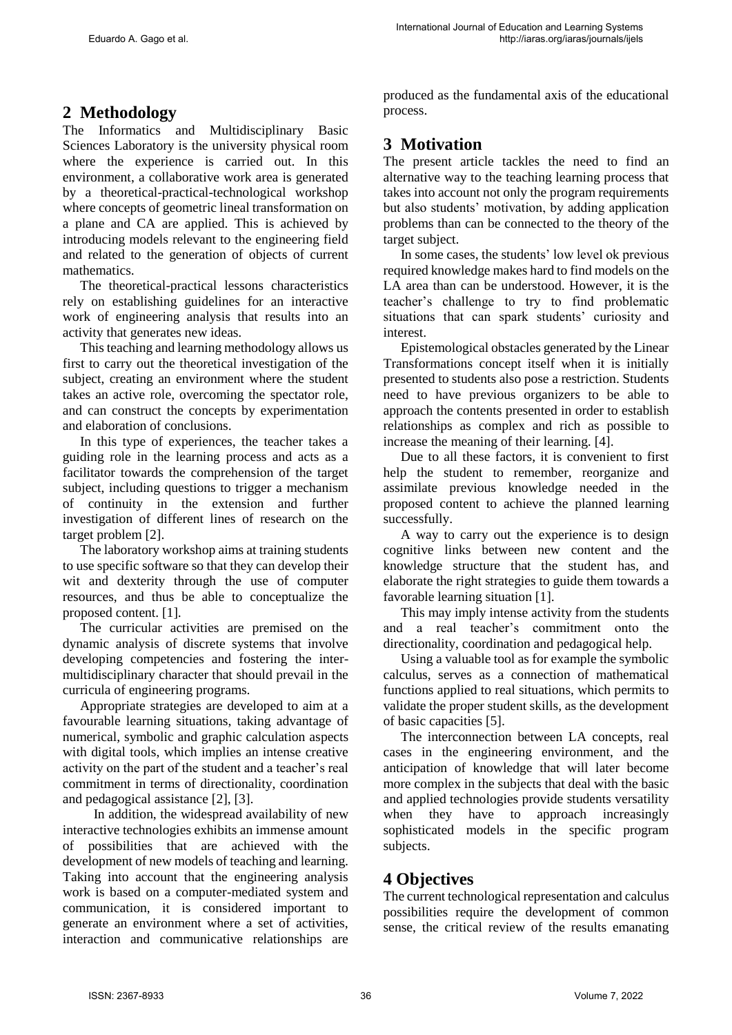## **2 Methodology**

The Informatics and Multidisciplinary Basic Sciences Laboratory is the university physical room where the experience is carried out. In this environment, a collaborative work area is generated by a theoretical-practical-technological workshop where concepts of geometric lineal transformation on a plane and CA are applied. This is achieved by introducing models relevant to the engineering field and related to the generation of objects of current mathematics.

The theoretical-practical lessons characteristics rely on establishing guidelines for an interactive work of engineering analysis that results into an activity that generates new ideas.

This teaching and learning methodology allows us first to carry out the theoretical investigation of the subject, creating an environment where the student takes an active role, overcoming the spectator role, and can construct the concepts by experimentation and elaboration of conclusions.

In this type of experiences, the teacher takes a guiding role in the learning process and acts as a facilitator towards the comprehension of the target subject, including questions to trigger a mechanism of continuity in the extension and further investigation of different lines of research on the target problem [2].

The laboratory workshop aims at training students to use specific software so that they can develop their wit and dexterity through the use of computer resources, and thus be able to conceptualize the proposed content. [1].

The curricular activities are premised on the dynamic analysis of discrete systems that involve developing competencies and fostering the intermultidisciplinary character that should prevail in the curricula of engineering programs.

Appropriate strategies are developed to aim at a favourable learning situations, taking advantage of numerical, symbolic and graphic calculation aspects with digital tools, which implies an intense creative activity on the part of the student and a teacher's real commitment in terms of directionality, coordination and pedagogical assistance [2], [3].

 In addition, the widespread availability of new interactive technologies exhibits an immense amount of possibilities that are achieved with the development of new models of teaching and learning. Taking into account that the engineering analysis work is based on a computer-mediated system and communication, it is considered important to generate an environment where a set of activities, interaction and communicative relationships are produced as the fundamental axis of the educational process.

# **3 Motivation**

The present article tackles the need to find an alternative way to the teaching learning process that takes into account not only the program requirements but also students' motivation, by adding application problems than can be connected to the theory of the target subject.

In some cases, the students' low level ok previous required knowledge makes hard to find models on the LA area than can be understood. However, it is the teacher's challenge to try to find problematic situations that can spark students' curiosity and interest.

Epistemological obstacles generated by the Linear Transformations concept itself when it is initially presented to students also pose a restriction. Students need to have previous organizers to be able to approach the contents presented in order to establish relationships as complex and rich as possible to increase the meaning of their learning. [4].

Due to all these factors, it is convenient to first help the student to remember, reorganize and assimilate previous knowledge needed in the proposed content to achieve the planned learning successfully.

A way to carry out the experience is to design cognitive links between new content and the knowledge structure that the student has, and elaborate the right strategies to guide them towards a favorable learning situation [1].

This may imply intense activity from the students and a real teacher's commitment onto the directionality, coordination and pedagogical help.

Using a valuable tool as for example the symbolic calculus, serves as a connection of mathematical functions applied to real situations, which permits to validate the proper student skills, as the development of basic capacities [5].

The interconnection between LA concepts, real cases in the engineering environment, and the anticipation of knowledge that will later become more complex in the subjects that deal with the basic and applied technologies provide students versatility when they have to approach increasingly sophisticated models in the specific program subjects.

## **4 Objectives**

The current technological representation and calculus possibilities require the development of common sense, the critical review of the results emanating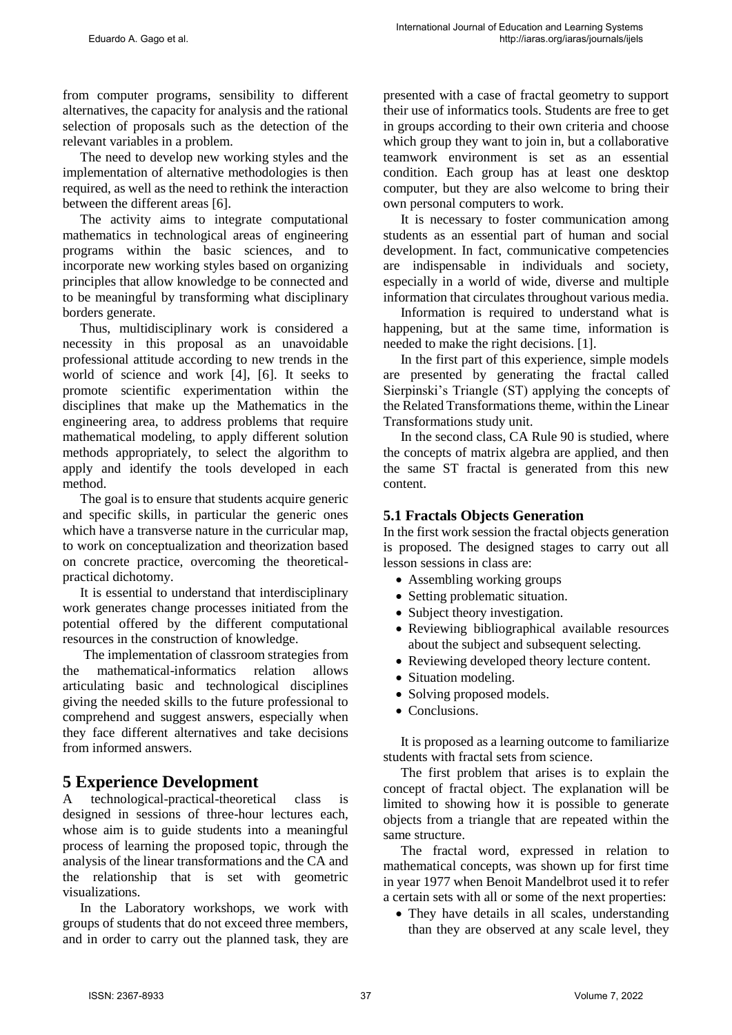from computer programs, sensibility to different alternatives, the capacity for analysis and the rational selection of proposals such as the detection of the relevant variables in a problem.

The need to develop new working styles and the implementation of alternative methodologies is then required, as well as the need to rethink the interaction between the different areas [6].

The activity aims to integrate computational mathematics in technological areas of engineering programs within the basic sciences, and to incorporate new working styles based on organizing principles that allow knowledge to be connected and to be meaningful by transforming what disciplinary borders generate.

Thus, multidisciplinary work is considered a necessity in this proposal as an unavoidable professional attitude according to new trends in the world of science and work [4], [6]. It seeks to promote scientific experimentation within the disciplines that make up the Mathematics in the engineering area, to address problems that require mathematical modeling, to apply different solution methods appropriately, to select the algorithm to apply and identify the tools developed in each method.

The goal is to ensure that students acquire generic and specific skills, in particular the generic ones which have a transverse nature in the curricular map, to work on conceptualization and theorization based on concrete practice, overcoming the theoreticalpractical dichotomy.

It is essential to understand that interdisciplinary work generates change processes initiated from the potential offered by the different computational resources in the construction of knowledge.

The implementation of classroom strategies from the mathematical-informatics relation allows articulating basic and technological disciplines giving the needed skills to the future professional to comprehend and suggest answers, especially when they face different alternatives and take decisions from informed answers.

### **5 Experience Development**

A technological-practical-theoretical class is designed in sessions of three-hour lectures each, whose aim is to guide students into a meaningful process of learning the proposed topic, through the analysis of the linear transformations and the CA and the relationship that is set with geometric visualizations.

In the Laboratory workshops, we work with groups of students that do not exceed three members, and in order to carry out the planned task, they are presented with a case of fractal geometry to support their use of informatics tools. Students are free to get in groups according to their own criteria and choose which group they want to join in, but a collaborative teamwork environment is set as an essential condition. Each group has at least one desktop computer, but they are also welcome to bring their own personal computers to work.

It is necessary to foster communication among students as an essential part of human and social development. In fact, communicative competencies are indispensable in individuals and society, especially in a world of wide, diverse and multiple information that circulates throughout various media.

Information is required to understand what is happening, but at the same time, information is needed to make the right decisions. [1].

In the first part of this experience, simple models are presented by generating the fractal called Sierpinski's Triangle (ST) applying the concepts of the Related Transformations theme, within the Linear Transformations study unit.

In the second class, CA Rule 90 is studied, where the concepts of matrix algebra are applied, and then the same ST fractal is generated from this new content.

#### **5.1 Fractals Objects Generation**

In the first work session the fractal objects generation is proposed. The designed stages to carry out all lesson sessions in class are:

- Assembling working groups
- Setting problematic situation.
- Subject theory investigation.
- Reviewing bibliographical available resources about the subject and subsequent selecting.
- Reviewing developed theory lecture content.
- Situation modeling.
- Solving proposed models.
- Conclusions

It is proposed as a learning outcome to familiarize students with fractal sets from science.

The first problem that arises is to explain the concept of fractal object. The explanation will be limited to showing how it is possible to generate objects from a triangle that are repeated within the same structure.

The fractal word, expressed in relation to mathematical concepts, was shown up for first time in year 1977 when Benoit Mandelbrot used it to refer a certain sets with all or some of the next properties:

• They have details in all scales, understanding than they are observed at any scale level, they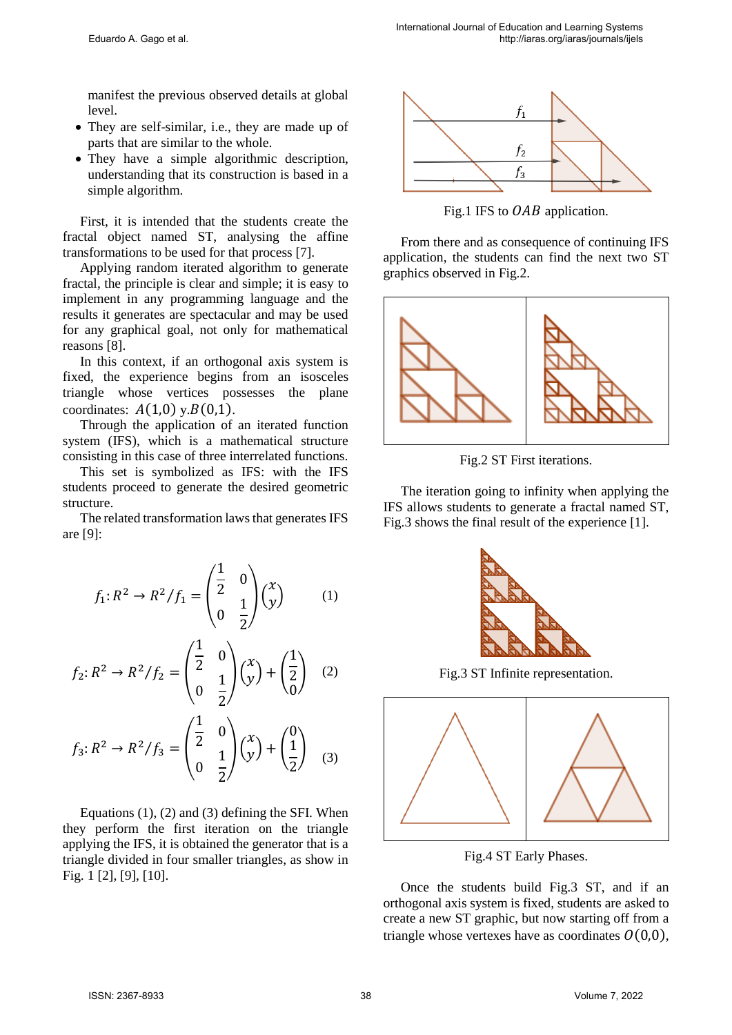manifest the previous observed details at global level.

- They are self-similar, i.e., they are made up of parts that are similar to the whole.
- They have a simple algorithmic description, understanding that its construction is based in a simple algorithm.

First, it is intended that the students create the fractal object named ST, analysing the affine transformations to be used for that process [7].

Applying random iterated algorithm to generate fractal, the principle is clear and simple; it is easy to implement in any programming language and the results it generates are spectacular and may be used for any graphical goal, not only for mathematical reasons [8].

In this context, if an orthogonal axis system is fixed, the experience begins from an isosceles triangle whose vertices possesses the plane coordinates:  $A(1,0)$  y. $B(0,1)$ .

Through the application of an iterated function system (IFS), which is a mathematical structure consisting in this case of three interrelated functions.

This set is symbolized as IFS: with the IFS students proceed to generate the desired geometric structure.

The related transformation laws that generates IFS are [9]:

$$
f_1: R^2 \to R^2 / f_1 = \begin{pmatrix} \frac{1}{2} & 0 \\ 0 & \frac{1}{2} \end{pmatrix} \begin{pmatrix} x \\ y \end{pmatrix} \tag{1}
$$

$$
f_2: R^2 \to R^2/f_2 = \begin{pmatrix} \frac{1}{2} & 0 \\ 0 & \frac{1}{2} \end{pmatrix} \begin{pmatrix} x \\ y \end{pmatrix} + \begin{pmatrix} \frac{1}{2} \\ 0 \end{pmatrix} \quad (2)
$$

$$
f_3: R^2 \to R^2 / f_3 = \begin{pmatrix} \frac{1}{2} & 0 \\ 0 & \frac{1}{2} \end{pmatrix} \begin{pmatrix} x \\ y \end{pmatrix} + \begin{pmatrix} 0 \\ \frac{1}{2} \end{pmatrix} \tag{3}
$$

Equations (1), (2) and (3) defining the SFI. When they perform the first iteration on the triangle applying the IFS, it is obtained the generator that is a triangle divided in four smaller triangles, as show in Fig. 1 [2], [9], [10].



Fig.1 IFS to  $OAB$  application.

From there and as consequence of continuing IFS application, the students can find the next two ST graphics observed in Fig.2.



Fig.2 ST First iterations.

The iteration going to infinity when applying the IFS allows students to generate a fractal named ST, Fig.3 shows the final result of the experience [1].



Fig.3 ST Infinite representation.



Fig.4 ST Early Phases.

Once the students build Fig.3 ST, and if an orthogonal axis system is fixed, students are asked to create a new ST graphic, but now starting off from a triangle whose vertexes have as coordinates  $O(0,0)$ ,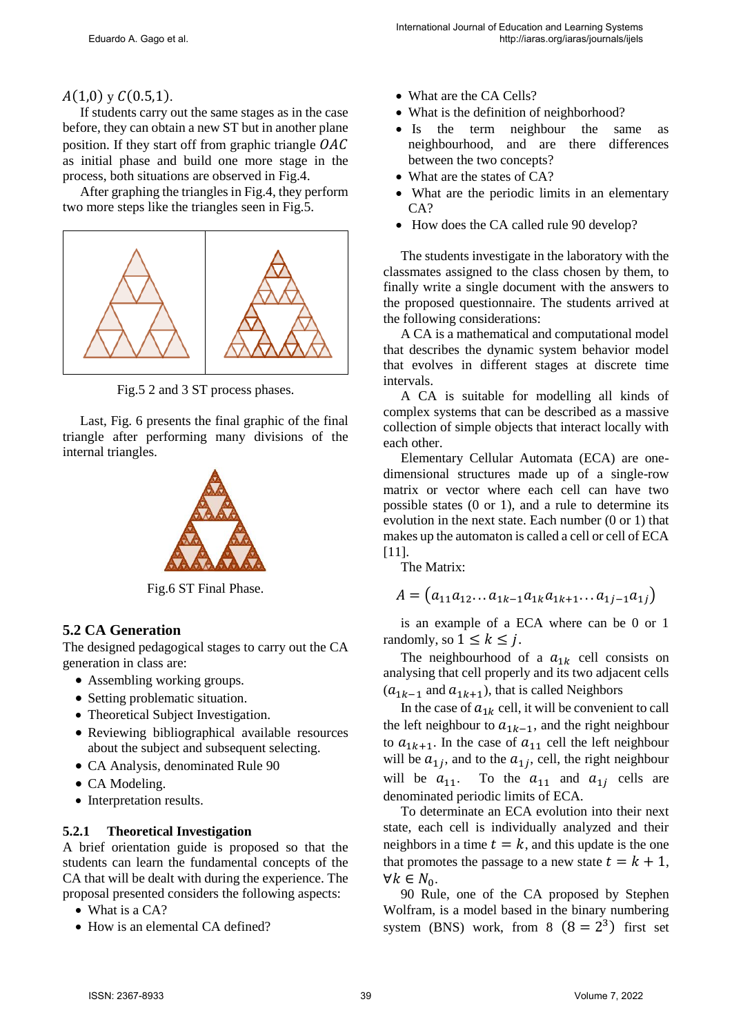#### $A(1,0)$  y  $C(0.5,1)$ .

If students carry out the same stages as in the case before, they can obtain a new ST but in another plane position. If they start off from graphic triangle  $OAC$ as initial phase and build one more stage in the process, both situations are observed in Fig.4.

After graphing the triangles in Fig.4, they perform two more steps like the triangles seen in Fig.5.



Fig.5 2 and 3 ST process phases.

Last, Fig. 6 presents the final graphic of the final triangle after performing many divisions of the internal triangles.



Fig.6 ST Final Phase.

#### **5.2 CA Generation**

The designed pedagogical stages to carry out the CA generation in class are:

- Assembling working groups.
- Setting problematic situation.
- Theoretical Subject Investigation.
- Reviewing bibliographical available resources about the subject and subsequent selecting.
- CA Analysis, denominated Rule 90
- CA Modeling.
- Interpretation results.

#### **5.2.1 Theoretical Investigation**

A brief orientation guide is proposed so that the students can learn the fundamental concepts of the CA that will be dealt with during the experience. The proposal presented considers the following aspects:

- What is a CA?
- How is an elemental CA defined?
- What are the CA Cells?
- What is the definition of neighborhood?
- Is the term neighbour the same as neighbourhood, and are there differences between the two concepts?
- What are the states of CA?
- What are the periodic limits in an elementary CA?
- How does the CA called rule 90 develop?

The students investigate in the laboratory with the classmates assigned to the class chosen by them, to finally write a single document with the answers to the proposed questionnaire. The students arrived at the following considerations:

A CA is a mathematical and computational model that describes the dynamic system behavior model that evolves in different stages at discrete time intervals.

A CA is suitable for modelling all kinds of complex systems that can be described as a massive collection of simple objects that interact locally with each other.

Elementary Cellular Automata (ECA) are onedimensional structures made up of a single-row matrix or vector where each cell can have two possible states (0 or 1), and a rule to determine its evolution in the next state. Each number (0 or 1) that makes up the automaton is called a cell or cell of ECA [11].

The Matrix:

$$
A = (a_{11}a_{12} \dots a_{1k-1}a_{1k}a_{1k+1} \dots a_{1j-1}a_{1j})
$$

is an example of a ECA where can be 0 or 1 randomly, so  $1 \leq k \leq j$ .

The neighbourhood of a  $a_{1k}$  cell consists on analysing that cell properly and its two adjacent cells  $(a_{1k-1}$  and  $a_{1k+1}$ ), that is called Neighbors

In the case of  $a_{1k}$  cell, it will be convenient to call the left neighbour to  $a_{1k-1}$ , and the right neighbour to  $a_{1k+1}$ . In the case of  $a_{11}$  cell the left neighbour will be  $a_{1i}$ , and to the  $a_{1i}$ , cell, the right neighbour will be  $a_{11}$ . To the  $a_{11}$  and  $a_{1j}$  cells are denominated periodic limits of ECA.

To determinate an ECA evolution into their next state, each cell is individually analyzed and their neighbors in a time  $t = k$ , and this update is the one that promotes the passage to a new state  $t = k + 1$ ,  $\forall k \in N_0$ .

90 Rule, one of the CA proposed by [Stephen](https://es.wikipedia.org/wiki/Stephen_Wolfram)  [Wolfram,](https://es.wikipedia.org/wiki/Stephen_Wolfram) is a model based in the binary numbering system (BNS) work, from  $8(8=2^3)$  first set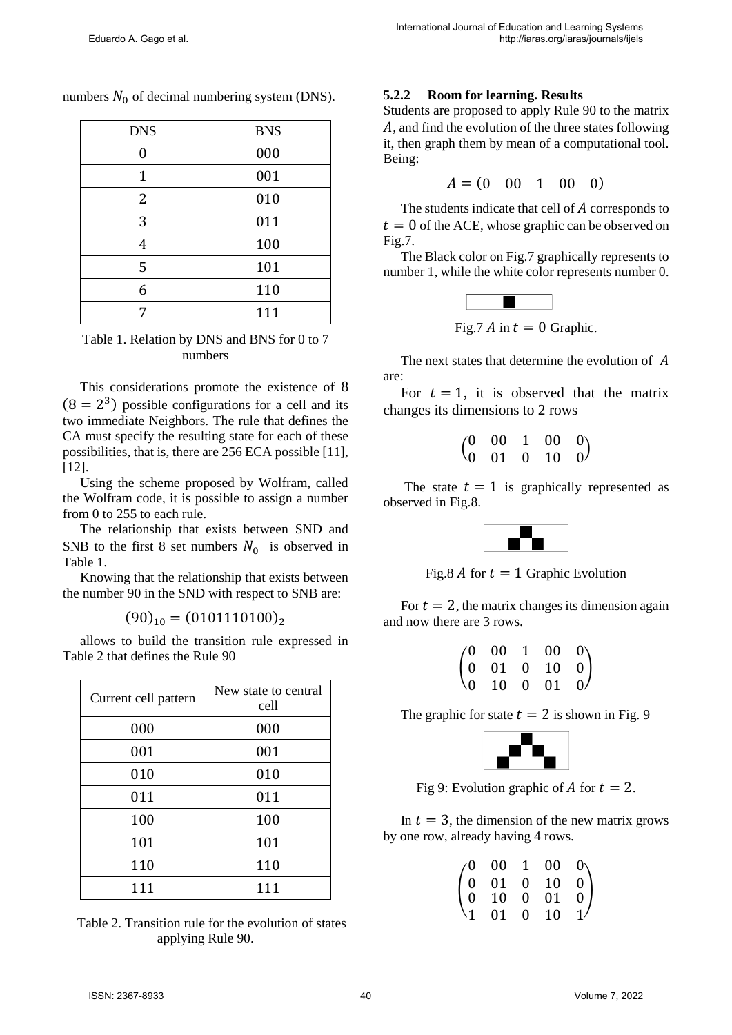| <b>DNS</b> | <b>BNS</b> |
|------------|------------|
| U          | 000        |
| 1          | 001        |
| 2          | 010        |
| 3          | 011        |
| 4          | 100        |
| 5          | 101        |
| 6          | 110        |
| 7          | 111        |

numbers  $N_0$  of decimal numbering system (DNS).

Table 1. Relation by DNS and BNS for 0 to 7 numbers

This considerations promote the existence of 8  $(8 = 2<sup>3</sup>)$  possible configurations for a cell and its two immediate Neighbors. The rule that defines the CA must specify the resulting state for each of these possibilities, that is, there are 256 ECA possible [11], [12].

Using the scheme proposed by Wolfram, called the Wolfram code, it is possible to assign a number from 0 to 255 to each rule.

The relationship that exists between SND and SNB to the first 8 set numbers  $N_0$  is observed in Table 1.

Knowing that the relationship that exists between the number 90 in the SND with respect to SNB are:

$$
(90)_{10} = (0101110100)_2
$$

allows to build the transition rule expressed in Table 2 that defines the Rule 90

| Current cell pattern | New state to central<br>cell |
|----------------------|------------------------------|
| 000                  | 000                          |
| 001                  | 001                          |
| 010                  | 010                          |
| 011                  | 011                          |
| 100                  | 100                          |
| 101                  | 101                          |
| 110                  | 110                          |
| 111                  | 111                          |

Table 2. Transition rule for the evolution of states applying Rule 90.

#### **5.2.2 Room for learning. Results**

Students are proposed to apply Rule 90 to the matrix , and find the evolution of the three states following it, then graph them by mean of a computational tool. Being:

$$
A = (0 \ 00 \ 1 \ 00 \ 0)
$$

The students indicate that cell of  $A$  corresponds to  $t = 0$  of the ACE, whose graphic can be observed on Fig.7.

The Black color on Fig.7 graphically represents to number 1, while the white color represents number 0.



Fig.7  $\Lambda$  in  $t = 0$  Graphic.

The next states that determine the evolution of A are:

For  $t = 1$ , it is observed that the matrix changes its dimensions to 2 rows

| $\begin{pmatrix} 0 & 00 & 1 & 00 & 0 \\ 0 & 01 & 0 & 10 & 0 \end{pmatrix}$ |  |  |
|----------------------------------------------------------------------------|--|--|
|                                                                            |  |  |

The state  $t = 1$  is graphically represented as observed in Fig.8.



Fig.8  $\Lambda$  for  $t = 1$  Graphic Evolution

For  $t = 2$ , the matrix changes its dimension again and now there are 3 rows.

| $\begin{pmatrix} 0 & 00 & 1 & 00 & 0 \\ 0 & 01 & 0 & 10 & 0 \\ 0 & 10 & 0 & 01 & 0 \end{pmatrix}$ |  |  |
|---------------------------------------------------------------------------------------------------|--|--|
|                                                                                                   |  |  |

The graphic for state  $t = 2$  is shown in Fig. 9



Fig 9: Evolution graphic of A for  $t = 2$ .

In  $t = 3$ , the dimension of the new matrix grows by one row, already having 4 rows.

|  | $\begin{pmatrix} 0 & 00 & 1 & 00 & 0 \ 0 & 01 & 0 & 10 & 0 \ 0 & 10 & 0 & 01 & 0 \end{pmatrix}$ |               |
|--|-------------------------------------------------------------------------------------------------|---------------|
|  |                                                                                                 |               |
|  |                                                                                                 |               |
|  | 01 0 10                                                                                         | $\frac{1}{1}$ |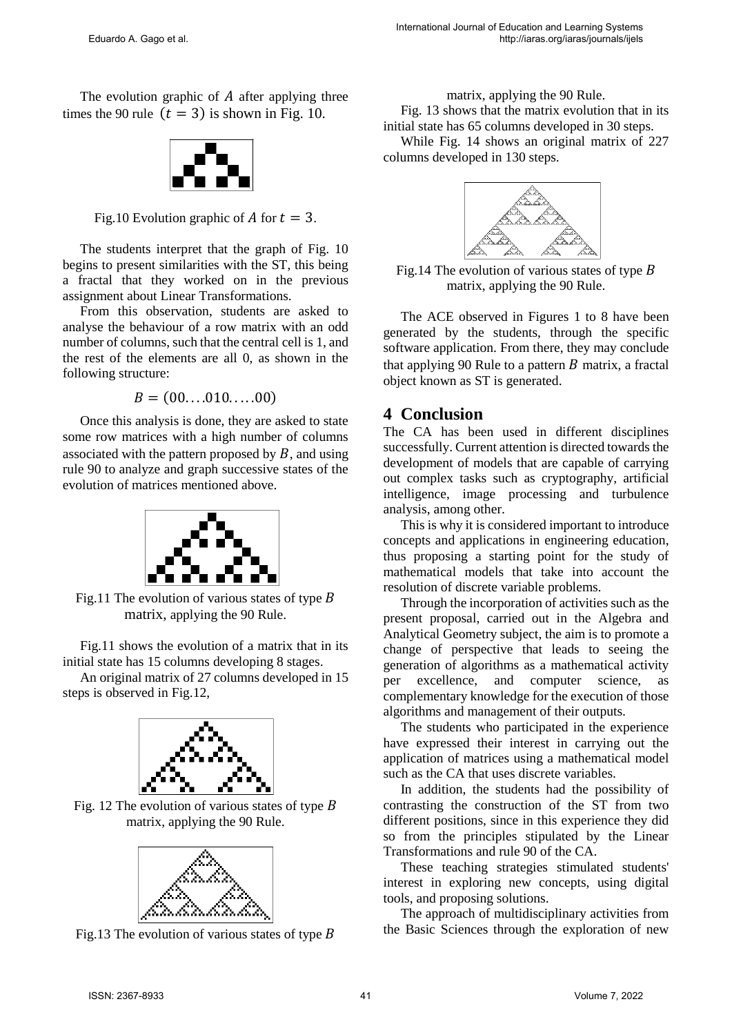The evolution graphic of  $\vec{A}$  after applying three times the 90 rule  $(t = 3)$  is shown in Fig. 10.



Fig.10 Evolution graphic of A for  $t = 3$ .

The students interpret that the graph of Fig. 10 begins to present similarities with the ST, this being a fractal that they worked on in the previous assignment about Linear Transformations.

From this observation, students are asked to analyse the behaviour of a row matrix with an odd number of columns, such that the central cell is 1, and the rest of the elements are all 0, as shown in the following structure:

 $B = (00, \ldots, 010, \ldots, 00)$ 

Once this analysis is done, they are asked to state some row matrices with a high number of columns associated with the pattern proposed by  $B$ , and using rule 90 to analyze and graph successive states of the evolution of matrices mentioned above.



Fig.11 The evolution of various states of type  $B$ matrix, applying the 90 Rule.

Fig.11 shows the evolution of a matrix that in its initial state has 15 columns developing 8 stages.

An original matrix of 27 columns developed in 15 steps is observed in Fig.12,



Fig. 12 The evolution of various states of type  $\hat{B}$ matrix, applying the 90 Rule.



Fig.13 The evolution of various states of type  $\hat{B}$ 

matrix, applying the 90 Rule.

Fig. 13 shows that the matrix evolution that in its initial state has 65 columns developed in 30 steps.

While Fig. 14 shows an original matrix of 227 columns developed in 130 steps.



Fig.14 The evolution of various states of type  $B$ matrix, applying the 90 Rule.

The ACE observed in Figures 1 to 8 have been generated by the students, through the specific software application. From there, they may conclude that applying 90 Rule to a pattern  $\hat{B}$  matrix, a fractal object known as ST is generated.

### **4 Conclusion**

The CA has been used in different disciplines successfully. Current attention is directed towards the development of models that are capable of carrying out complex tasks such as cryptography, artificial intelligence, image processing and turbulence analysis, among other.

This is why it is considered important to introduce concepts and applications in engineering education, thus proposing a starting point for the study of mathematical models that take into account the resolution of discrete variable problems.

Through the incorporation of activities such as the present proposal, carried out in the Algebra and Analytical Geometry subject, the aim is to promote a change of perspective that leads to seeing the generation of algorithms as a mathematical activity per excellence, and computer science, as complementary knowledge for the execution of those algorithms and management of their outputs.

The students who participated in the experience have expressed their interest in carrying out the application of matrices using a mathematical model such as the CA that uses discrete variables.

In addition, the students had the possibility of contrasting the construction of the ST from two different positions, since in this experience they did so from the principles stipulated by the Linear Transformations and rule 90 of the CA.

These teaching strategies stimulated students' interest in exploring new concepts, using digital tools, and proposing solutions.

The approach of multidisciplinary activities from the Basic Sciences through the exploration of new